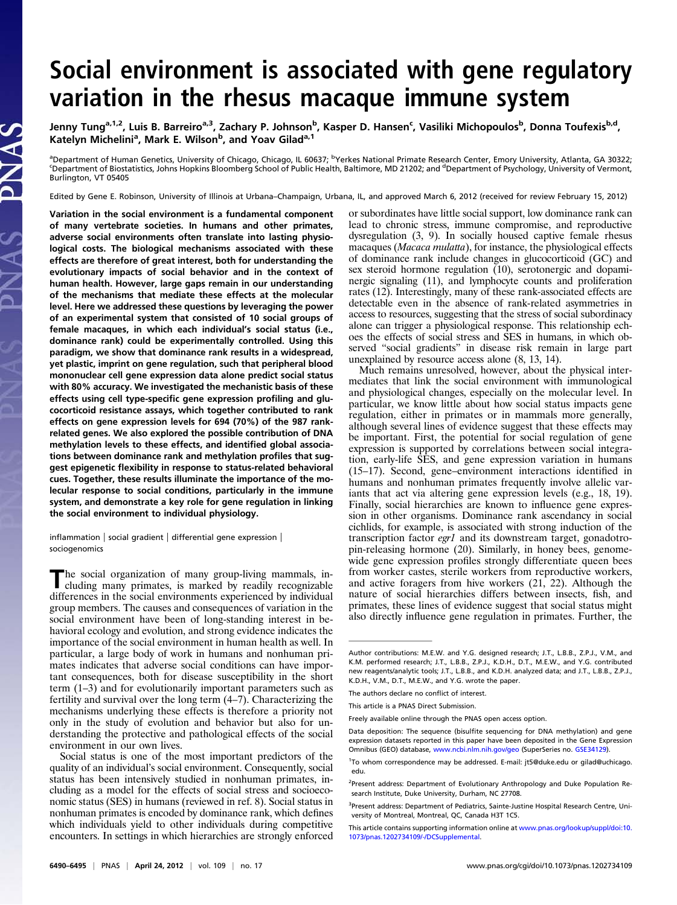# Social environment is associated with gene regulatory variation in the rhesus macaque immune system

Jenny Tung<sup>a,1,2</sup>, Luis B. Barreiro<sup>a,3</sup>, Zachary P. Johnson<sup>b</sup>, Kasper D. Hansen<sup>c</sup>, Vasiliki Michopoulos<sup>b</sup>, Donna Toufexis<sup>b,d</sup>, Katelyn Michelini<sup>a</sup>, Mark E. Wilson<sup>b</sup>, and Yoav Gilad<sup>a,1</sup>

<sup>a</sup>Department of Human Genetics, University of Chicago, Chicago, IL 60637; <sup>b</sup>Yerkes National Primate Research Center, Emory University, Atlanta, GA 30322;<br>SDonartment of Piertatistics, Johns Hopkins Ploemberg School of Pu Department of Biostatistics, Johns Hopkins Bloomberg School of Public Health, Baltimore, MD 21202; and <sup>d</sup>Department of Psychology, University of Vermont, Burlington, VT 05405

Edited by Gene E. Robinson, University of Illinois at Urbana–Champaign, Urbana, IL, and approved March 6, 2012 (received for review February 15, 2012)

Variation in the social environment is a fundamental component of many vertebrate societies. In humans and other primates, adverse social environments often translate into lasting physiological costs. The biological mechanisms associated with these effects are therefore of great interest, both for understanding the evolutionary impacts of social behavior and in the context of human health. However, large gaps remain in our understanding of the mechanisms that mediate these effects at the molecular level. Here we addressed these questions by leveraging the power of an experimental system that consisted of 10 social groups of female macaques, in which each individual's social status (i.e., dominance rank) could be experimentally controlled. Using this paradigm, we show that dominance rank results in a widespread, yet plastic, imprint on gene regulation, such that peripheral blood mononuclear cell gene expression data alone predict social status with 80% accuracy. We investigated the mechanistic basis of these effects using cell type-specific gene expression profiling and glucocorticoid resistance assays, which together contributed to rank effects on gene expression levels for 694 (70%) of the 987 rankrelated genes. We also explored the possible contribution of DNA methylation levels to these effects, and identified global associations between dominance rank and methylation profiles that suggest epigenetic flexibility in response to status-related behavioral cues. Together, these results illuminate the importance of the molecular response to social conditions, particularly in the immune system, and demonstrate a key role for gene regulation in linking the social environment to individual physiology.

inflammation | social gradient | differential gene expression | sociogenomics

The social organization of many group-living mammals, in-<br>cluding many primates, is marked by readily recognizable differences in the social environments experienced by individual group members. The causes and consequences of variation in the social environment have been of long-standing interest in behavioral ecology and evolution, and strong evidence indicates the importance of the social environment in human health as well. In particular, a large body of work in humans and nonhuman primates indicates that adverse social conditions can have important consequences, both for disease susceptibility in the short term (1–3) and for evolutionarily important parameters such as fertility and survival over the long term (4–7). Characterizing the mechanisms underlying these effects is therefore a priority not only in the study of evolution and behavior but also for understanding the protective and pathological effects of the social environment in our own lives.

Social status is one of the most important predictors of the quality of an individual's social environment. Consequently, social status has been intensively studied in nonhuman primates, including as a model for the effects of social stress and socioeconomic status (SES) in humans (reviewed in ref. 8). Social status in nonhuman primates is encoded by dominance rank, which defines which individuals yield to other individuals during competitive encounters. In settings in which hierarchies are strongly enforced or subordinates have little social support, low dominance rank can lead to chronic stress, immune compromise, and reproductive dysregulation (3, 9). In socially housed captive female rhesus macaques (Macaca mulatta), for instance, the physiological effects of dominance rank include changes in glucocorticoid (GC) and sex steroid hormone regulation (10), serotonergic and dopaminergic signaling (11), and lymphocyte counts and proliferation rates (12). Interestingly, many of these rank-associated effects are detectable even in the absence of rank-related asymmetries in access to resources, suggesting that the stress of social subordinacy alone can trigger a physiological response. This relationship echoes the effects of social stress and SES in humans, in which observed "social gradients" in disease risk remain in large part unexplained by resource access alone (8, 13, 14).

Much remains unresolved, however, about the physical intermediates that link the social environment with immunological and physiological changes, especially on the molecular level. In particular, we know little about how social status impacts gene regulation, either in primates or in mammals more generally, although several lines of evidence suggest that these effects may be important. First, the potential for social regulation of gene expression is supported by correlations between social integration, early-life SES, and gene expression variation in humans (15–17). Second, gene–environment interactions identified in humans and nonhuman primates frequently involve allelic variants that act via altering gene expression levels (e.g., 18, 19). Finally, social hierarchies are known to influence gene expression in other organisms. Dominance rank ascendancy in social cichlids, for example, is associated with strong induction of the transcription factor egr1 and its downstream target, gonadotropin-releasing hormone (20). Similarly, in honey bees, genomewide gene expression profiles strongly differentiate queen bees from worker castes, sterile workers from reproductive workers, and active foragers from hive workers (21, 22). Although the nature of social hierarchies differs between insects, fish, and primates, these lines of evidence suggest that social status might also directly influence gene regulation in primates. Further, the

Author contributions: M.E.W. and Y.G. designed research; J.T., L.B.B., Z.P.J., V.M., and K.M. performed research; J.T., L.B.B., Z.P.J., K.D.H., D.T., M.E.W., and Y.G. contributed new reagents/analytic tools; J.T., L.B.B., and K.D.H. analyzed data; and J.T., L.B.B., Z.P.J., K.D.H., V.M., D.T., M.E.W., and Y.G. wrote the paper.

The authors declare no conflict of interest.

This article is a PNAS Direct Submission.

Freely available online through the PNAS open access option.

Data deposition: The sequence (bisulfite sequencing for DNA methylation) and gene expression datasets reported in this paper have been deposited in the Gene Expression Omnibus (GEO) database, [www.ncbi.nlm.nih.gov/geo](http://www.ncbi.nlm.nih.gov/geo) (SuperSeries no. [GSE34129](http://www.ncbi.nlm.nih.gov/geo/query/acc.cgi?acc=GSE34129)).

<sup>1</sup> To whom correspondence may be addressed. E-mail: [jt5@duke.edu](mailto:jt5@duke.edu) or [gilad@uchicago.](mailto:gilad@uchicago.edu) [edu](mailto:gilad@uchicago.edu).

<sup>&</sup>lt;sup>2</sup>Present address: Department of Evolutionary Anthropology and Duke Population Research Institute, Duke University, Durham, NC 27708.

<sup>&</sup>lt;sup>3</sup>Present address: Department of Pediatrics, Sainte-Justine Hospital Research Centre, University of Montreal, Montreal, QC, Canada H3T 1C5.

This article contains supporting information online at [www.pnas.org/lookup/suppl/doi:10.](http://www.pnas.org/lookup/suppl/doi:10.1073/pnas.1202734109/-/DCSupplemental) [1073/pnas.1202734109/-/DCSupplemental.](http://www.pnas.org/lookup/suppl/doi:10.1073/pnas.1202734109/-/DCSupplemental)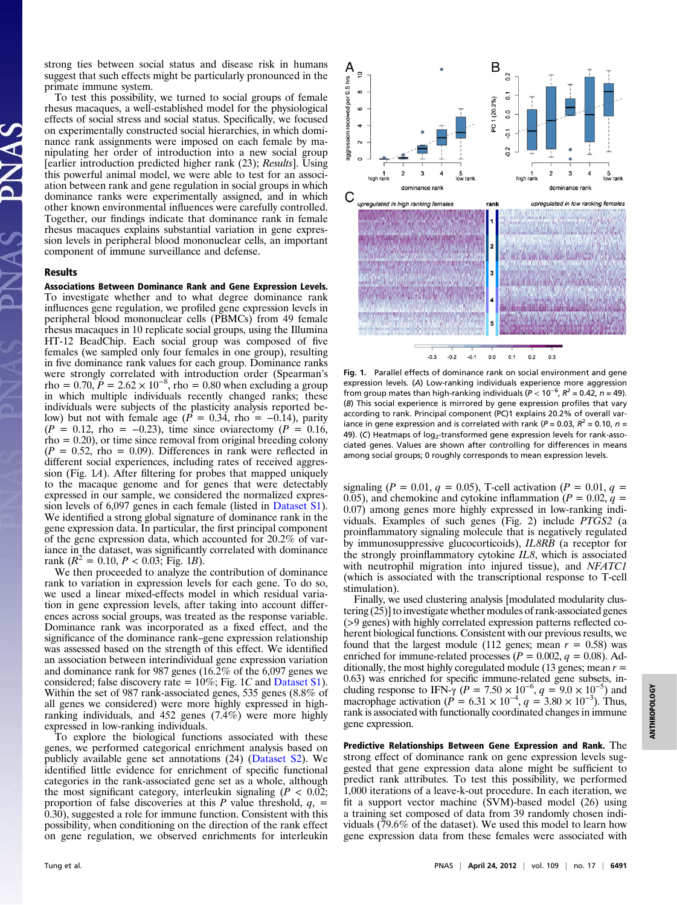strong ties between social status and disease risk in humans suggest that such effects might be particularly pronounced in the primate immune system.

To test this possibility, we turned to social groups of female rhesus macaques, a well-established model for the physiological effects of social stress and social status. Specifically, we focused on experimentally constructed social hierarchies, in which dominance rank assignments were imposed on each female by manipulating her order of introduction into a new social group [earlier introduction predicted higher rank (23); Results]. Using this powerful animal model, we were able to test for an association between rank and gene regulation in social groups in which dominance ranks were experimentally assigned, and in which other known environmental influences were carefully controlled. Together, our findings indicate that dominance rank in female rhesus macaques explains substantial variation in gene expression levels in peripheral blood mononuclear cells, an important component of immune surveillance and defense.

# Results

Associations Between Dominance Rank and Gene Expression Levels. To investigate whether and to what degree dominance rank influences gene regulation, we profiled gene expression levels in peripheral blood mononuclear cells (PBMCs) from 49 female rhesus macaques in 10 replicate social groups, using the Illumina HT-12 BeadChip. Each social group was composed of five females (we sampled only four females in one group), resulting in five dominance rank values for each group. Dominance ranks were strongly correlated with introduction order (Spearman's rho =  $0.70, \tilde{P} = 2.62 \times 10^{-8}$ , rho = 0.80 when excluding a group in which multiple individuals recently changed ranks; these individuals were subjects of the plasticity analysis reported below) but not with female age ( $P = 0.34$ , rho = -0.14), parity  $(P = 0.12, \text{rho} = -0.23), \text{ time since } \text{ovi} = (P = 0.16, \text{cm}^2)$  $rho = 0.20$ , or time since removal from original breeding colony  $(P = 0.52,$  rho = 0.09). Differences in rank were reflected in different social experiences, including rates of received aggression (Fig. 1A). After filtering for probes that mapped uniquely to the macaque genome and for genes that were detectably expressed in our sample, we considered the normalized expression levels of 6,097 genes in each female (listed in [Dataset S1\)](http://www.pnas.org/lookup/suppl/doi:10.1073/pnas.1202734109/-/DCSupplemental/sd01.xlsx). We identified a strong global signature of dominance rank in the gene expression data. In particular, the first principal component of the gene expression data, which accounted for 20.2% of variance in the dataset, was significantly correlated with dominance rank  $(R^2 = 0.10, P < 0.03$ ; Fig. 1B).

We then proceeded to analyze the contribution of dominance rank to variation in expression levels for each gene. To do so, we used a linear mixed-effects model in which residual variation in gene expression levels, after taking into account differences across social groups, was treated as the response variable. Dominance rank was incorporated as a fixed effect, and the significance of the dominance rank–gene expression relationship was assessed based on the strength of this effect. We identified an association between interindividual gene expression variation and dominance rank for 987 genes (16.2% of the 6,097 genes we considered; false discovery rate =  $10\%$ ; Fig. 1C and [Dataset S1\)](http://www.pnas.org/lookup/suppl/doi:10.1073/pnas.1202734109/-/DCSupplemental/sd01.xlsx). Within the set of 987 rank-associated genes, 535 genes (8.8% of all genes we considered) were more highly expressed in highranking individuals, and 452 genes (7.4%) were more highly expressed in low-ranking individuals.

To explore the biological functions associated with these genes, we performed categorical enrichment analysis based on publicly available gene set annotations (24) ([Dataset S2\)](http://www.pnas.org/lookup/suppl/doi:10.1073/pnas.1202734109/-/DCSupplemental/sd02.xlsx). We identified little evidence for enrichment of specific functional categories in the rank-associated gene set as a whole, although the most significant category, interleukin signaling ( $P < 0.02$ ; proportion of false discoveries at this P value threshold,  $q_1$  =  $(0.30)$ , suggested a role for immune function. Consistent with this possibility, when conditioning on the direction of the rank effect on gene regulation, we observed enrichments for interleukin



Fig. 1. Parallel effects of dominance rank on social environment and gene expression levels. (A) Low-ranking individuals experience more aggression from group mates than high-ranking individuals ( $P < 10^{-6}$ ,  $R^2 = 0.42$ , n = 49). (B) This social experience is mirrored by gene expression profiles that vary according to rank. Principal component (PC)1 explains 20.2% of overall variance in gene expression and is correlated with rank ( $P = 0.03$ ,  $R^2 = 0.10$ ,  $n =$ 49). (C) Heatmaps of  $log<sub>2</sub>$ -transformed gene expression levels for rank-associated genes. Values are shown after controlling for differences in means among social groups; 0 roughly corresponds to mean expression levels.

signaling ( $P = 0.01$ ,  $q = 0.05$ ), T-cell activation ( $P = 0.01$ ,  $q =$ 0.05), and chemokine and cytokine inflammation ( $P = 0.02$ ,  $q =$ 0.07) among genes more highly expressed in low-ranking individuals. Examples of such genes (Fig. 2) include PTGS2 (a proinflammatory signaling molecule that is negatively regulated by immunosuppressive glucocorticoids), IL8RB (a receptor for the strongly proinflammatory cytokine IL8, which is associated with neutrophil migration into injured tissue), and *NFATC1* (which is associated with the transcriptional response to T-cell stimulation).

Finally, we used clustering analysis [modulated modularity clustering (25)] to investigate whether modules of rank-associated genes (>9 genes) with highly correlated expression patterns reflected coherent biological functions. Consistent with our previous results, we found that the largest module (112 genes; mean  $r = 0.58$ ) was enriched for immune-related processes ( $P = 0.002$ ,  $q = 0.08$ ). Additionally, the most highly coregulated module (13 genes; mean  $r =$ 0.63) was enriched for specific immune-related gene subsets, including response to IFN- $\gamma$  (P = 7.50 × 10<sup>-6</sup>, q = 9.0 × 10<sup>-5</sup>) and macrophage activation ( $\vec{P} = 6.31 \times 10^{-4}$ ,  $q = 3.80 \times 10^{-3}$ ). Thus, rank is associated with functionally coordinated changes in immune gene expression.

Predictive Relationships Between Gene Expression and Rank. The strong effect of dominance rank on gene expression levels suggested that gene expression data alone might be sufficient to predict rank attributes. To test this possibility, we performed 1,000 iterations of a leave-k-out procedure. In each iteration, we fit a support vector machine (SVM)-based model (26) using a training set composed of data from 39 randomly chosen individuals (79.6% of the dataset). We used this model to learn how gene expression data from these females were associated with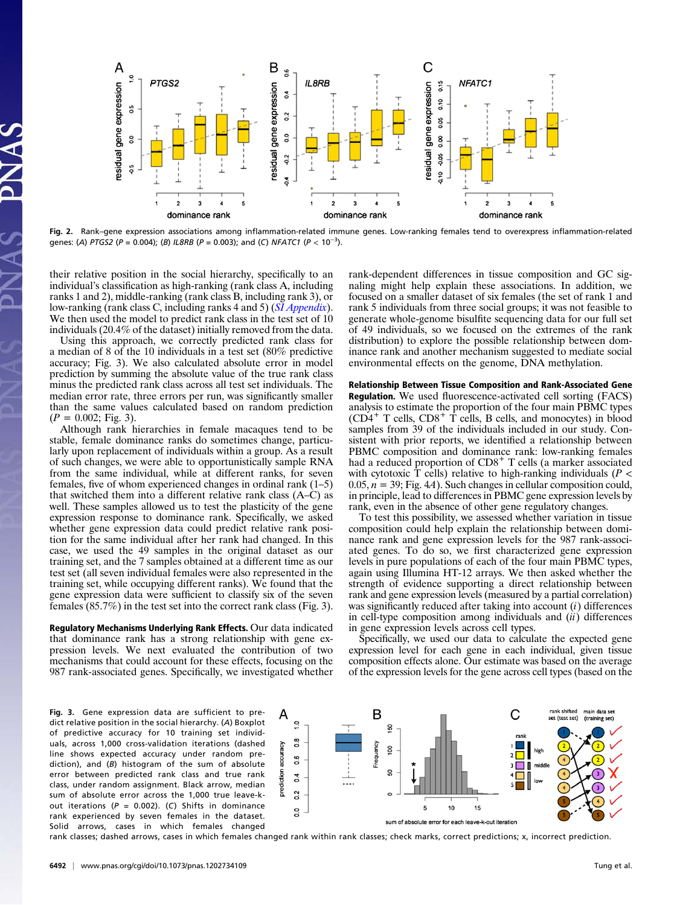

Fig. 2. Rank–gene expression associations among inflammation-related immune genes. Low-ranking females tend to overexpress inflammation-related genes: (A) PTGS2 (P = 0.004); (B) IL8RB (P = 0.003); and (C) NFATC1 (P  $< 10^{-3}$ ).

their relative position in the social hierarchy, specifically to an individual's classification as high-ranking (rank class A, including ranks 1 and 2), middle-ranking (rank class B, including rank 3), or low-ranking (rank class C, including ranks 4 and 5) ([SI Appendix](http://www.pnas.org/lookup/suppl/doi:10.1073/pnas.1202734109/-/DCSupplemental/sapp.pdf)). We then used the model to predict rank class in the test set of 10 individuals (20.4% of the dataset) initially removed from the data.

Using this approach, we correctly predicted rank class for a median of 8 of the 10 individuals in a test set (80% predictive accuracy; Fig. 3). We also calculated absolute error in model prediction by summing the absolute value of the true rank class minus the predicted rank class across all test set individuals. The median error rate, three errors per run, was significantly smaller than the same values calculated based on random prediction  $(P = 0.002;$  Fig. 3).

Although rank hierarchies in female macaques tend to be stable, female dominance ranks do sometimes change, particularly upon replacement of individuals within a group. As a result of such changes, we were able to opportunistically sample RNA from the same individual, while at different ranks, for seven females, five of whom experienced changes in ordinal rank (1–5) that switched them into a different relative rank class (A–C) as well. These samples allowed us to test the plasticity of the gene expression response to dominance rank. Specifically, we asked whether gene expression data could predict relative rank position for the same individual after her rank had changed. In this case, we used the 49 samples in the original dataset as our training set, and the 7 samples obtained at a different time as our test set (all seven individual females were also represented in the training set, while occupying different ranks). We found that the gene expression data were sufficient to classify six of the seven females (85.7%) in the test set into the correct rank class (Fig. 3).

Regulatory Mechanisms Underlying Rank Effects. Our data indicated that dominance rank has a strong relationship with gene expression levels. We next evaluated the contribution of two mechanisms that could account for these effects, focusing on the 987 rank-associated genes. Specifically, we investigated whether rank-dependent differences in tissue composition and GC signaling might help explain these associations. In addition, we focused on a smaller dataset of six females (the set of rank 1 and rank 5 individuals from three social groups; it was not feasible to generate whole-genome bisulfite sequencing data for our full set of 49 individuals, so we focused on the extremes of the rank distribution) to explore the possible relationship between dominance rank and another mechanism suggested to mediate social environmental effects on the genome, DNA methylation.

# Relationship Between Tissue Composition and Rank-Associated Gene Regulation. We used fluorescence-activated cell sorting (FACS) analysis to estimate the proportion of the four main PBMC types  $(CD4^+$  T cells,  $CD8^+$  T cells, B cells, and monocytes) in blood samples from 39 of the individuals included in our study. Consistent with prior reports, we identified a relationship between PBMC composition and dominance rank: low-ranking females had a reduced proportion of CD8<sup>+</sup> T cells (a marker associated with cytotoxic  $\overline{T}$  cells) relative to high-ranking individuals ( $P <$  $0.05, n = 39$ ; Fig. 4A). Such changes in cellular composition could, in principle, lead to differences in PBMC gene expression levels by rank, even in the absence of other gene regulatory changes.

To test this possibility, we assessed whether variation in tissue composition could help explain the relationship between dominance rank and gene expression levels for the 987 rank-associated genes. To do so, we first characterized gene expression levels in pure populations of each of the four main PBMC types, again using Illumina HT-12 arrays. We then asked whether the strength of evidence supporting a direct relationship between rank and gene expression levels (measured by a partial correlation) was significantly reduced after taking into account  $(i)$  differences in cell-type composition among individuals and  $(ii)$  differences in gene expression levels across cell types.

Specifically, we used our data to calculate the expected gene expression level for each gene in each individual, given tissue composition effects alone. Our estimate was based on the average of the expression levels for the gene across cell types (based on the

Fig. 3. Gene expression data are sufficient to predict relative position in the social hierarchy. (A) Boxplot of predictive accuracy for 10 training set individuals, across 1,000 cross-validation iterations (dashed line shows expected accuracy under random prediction), and (B) histogram of the sum of absolute error between predicted rank class and true rank class, under random assignment. Black arrow, median sum of absolute error across the 1,000 true leave-kout iterations ( $P = 0.002$ ). (C) Shifts in dominance rank experienced by seven females in the dataset. Solid arrows, cases in which females changed



rank classes; dashed arrows, cases in which females changed rank within rank classes; check marks, correct predictions; x, incorrect prediction.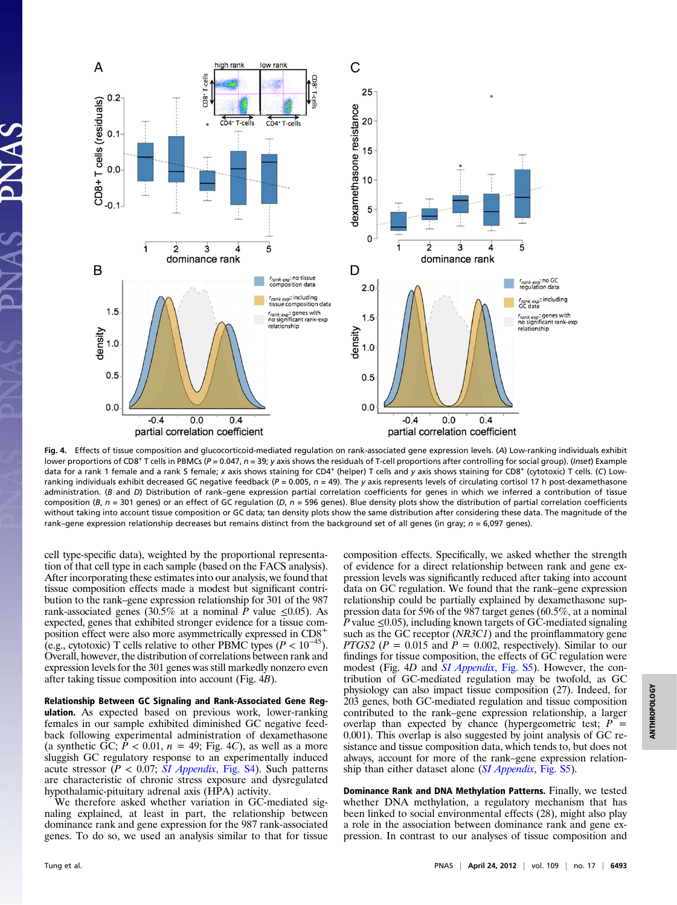

Fig. 4. Effects of tissue composition and glucocorticoid-mediated regulation on rank-associated gene expression levels. (A) Low-ranking individuals exhibit lower proportions of CD8<sup>+</sup> T cells in PBMCs ( $P = 0.047$ ,  $n = 39$ ; y axis shows the residuals of T-cell proportions after controlling for social group). (Inset) Example data for a rank 1 female and a rank 5 female; x axis shows staining for CD4<sup>+</sup> (helper) T cells and y axis shows staining for CD8<sup>+</sup> (cytotoxic) T cells. (C) Lowranking individuals exhibit decreased GC negative feedback ( $P = 0.005$ ,  $n = 49$ ). The y axis represents levels of circulating cortisol 17 h post-dexamethasone administration. (B and D) Distribution of rank-gene expression partial correlation coefficients for genes in which we inferred a contribution of tissue composition (B,  $n = 301$  genes) or an effect of GC regulation (D,  $n = 596$  genes). Blue density plots show the distribution of partial correlation coefficients without taking into account tissue composition or GC data; tan density plots show the same distribution after considering these data. The magnitude of the rank–gene expression relationship decreases but remains distinct from the background set of all genes (in gray;  $n = 6,097$  genes).

cell type-specific data), weighted by the proportional representation of that cell type in each sample (based on the FACS analysis). After incorporating these estimates into our analysis, we found that tissue composition effects made a modest but significant contribution to the rank–gene expression relationship for 301 of the 987 rank-associated genes (30.5% at a nominal P value  $\leq 0.05$ ). As expected, genes that exhibited stronger evidence for a tissue composition effect were also more asymmetrically expressed in CD8+ (e.g., cytotoxic) T cells relative to other PBMC types ( $P < 10^{-45}$ ). Overall, however, the distribution of correlations between rank and expression levels for the 301 genes was still markedly nonzero even after taking tissue composition into account (Fig. 4B).

# Relationship Between GC Signaling and Rank-Associated Gene Reg-

ulation. As expected based on previous work, lower-ranking females in our sample exhibited diminished GC negative feedback following experimental administration of dexamethasone (a synthetic GC;  $P < 0.01$ ,  $n = 49$ ; Fig. 4C), as well as a more sluggish GC regulatory response to an experimentally induced acute stressor ( $P < 0.07$ ; *[SI Appendix](http://www.pnas.org/lookup/suppl/doi:10.1073/pnas.1202734109/-/DCSupplemental/sapp.pdf)*, Fig. S4). Such patterns are characteristic of chronic stress exposure and dysregulated hypothalamic-pituitary adrenal axis (HPA) activity.

We therefore asked whether variation in GC-mediated signaling explained, at least in part, the relationship between dominance rank and gene expression for the 987 rank-associated genes. To do so, we used an analysis similar to that for tissue

composition effects. Specifically, we asked whether the strength of evidence for a direct relationship between rank and gene expression levels was significantly reduced after taking into account data on GC regulation. We found that the rank–gene expression relationship could be partially explained by dexamethasone suppression data for 596 of the 987 target genes (60.5%, at a nominal P value  $\leq 0.05$ ), including known targets of GC-mediated signaling such as the GC receptor (NR3C1) and the proinflammatory gene *PTGS2 (P = 0.015 and P = 0.002, respectively). Similar to our* findings for tissue composition, the effects of GC regulation were modest (Fig. 4D and  $\overline{SI}$  Appendix, Fig. S5). However, the contribution of GC-mediated regulation may be twofold, as GC physiology can also impact tissue composition (27). Indeed, for 203 genes, both GC-mediated regulation and tissue composition contributed to the rank–gene expression relationship, a larger overlap than expected by chance (hypergeometric test;  $P =$ 0.001). This overlap is also suggested by joint analysis of GC resistance and tissue composition data, which tends to, but does not always, account for more of the rank–gene expression relationship than either dataset alone *([SI Appendix](http://www.pnas.org/lookup/suppl/doi:10.1073/pnas.1202734109/-/DCSupplemental/sapp.pdf), Fig. S5)*.

Dominance Rank and DNA Methylation Patterns. Finally, we tested whether DNA methylation, a regulatory mechanism that has been linked to social environmental effects (28), might also play a role in the association between dominance rank and gene expression. In contrast to our analyses of tissue composition and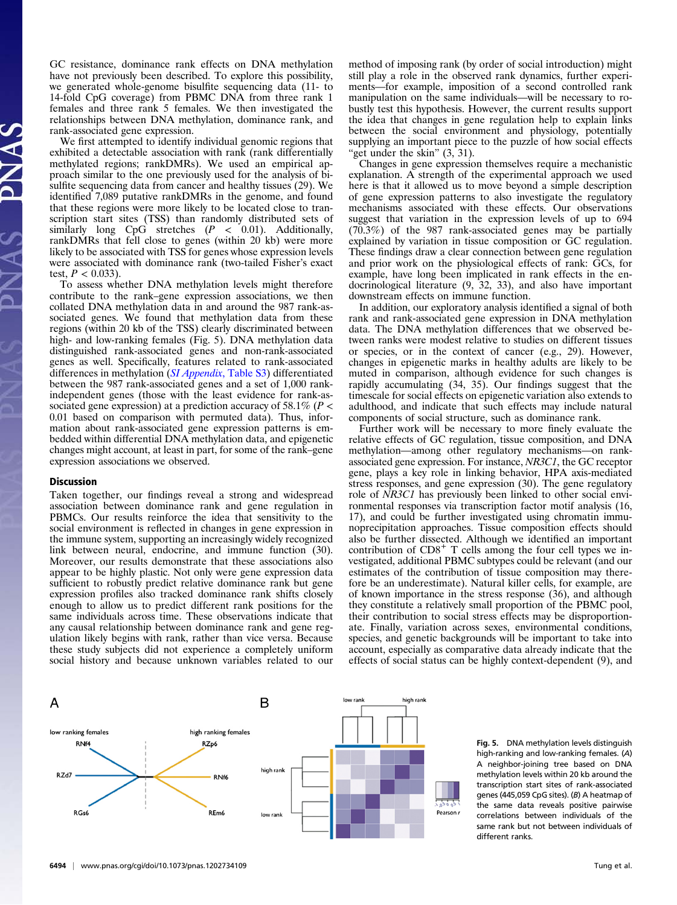GC resistance, dominance rank effects on DNA methylation have not previously been described. To explore this possibility, we generated whole-genome bisulfite sequencing data (11- to 14-fold CpG coverage) from PBMC DNA from three rank 1 females and three rank 5 females. We then investigated the relationships between DNA methylation, dominance rank, and rank-associated gene expression.

We first attempted to identify individual genomic regions that exhibited a detectable association with rank (rank differentially methylated regions; rankDMRs). We used an empirical approach similar to the one previously used for the analysis of bisulfite sequencing data from cancer and healthy tissues (29). We identified 7,089 putative rankDMRs in the genome, and found that these regions were more likely to be located close to transcription start sites (TSS) than randomly distributed sets of similarly long CpG stretches  $(P < 0.01)$ . Additionally, rankDMRs that fell close to genes (within 20 kb) were more likely to be associated with TSS for genes whose expression levels were associated with dominance rank (two-tailed Fisher's exact test,  $P < 0.033$ ).

To assess whether DNA methylation levels might therefore contribute to the rank–gene expression associations, we then collated DNA methylation data in and around the 987 rank-associated genes. We found that methylation data from these regions (within 20 kb of the TSS) clearly discriminated between high- and low-ranking females (Fig. 5). DNA methylation data distinguished rank-associated genes and non-rank-associated genes as well. Specifically, features related to rank-associated differences in methylation ([SI Appendix](http://www.pnas.org/lookup/suppl/doi:10.1073/pnas.1202734109/-/DCSupplemental/sapp.pdf), Table S3) differentiated between the 987 rank-associated genes and a set of 1,000 rankindependent genes (those with the least evidence for rank-associated gene expression) at a prediction accuracy of 58.1% ( $P$  < 0.01 based on comparison with permuted data). Thus, information about rank-associated gene expression patterns is embedded within differential DNA methylation data, and epigenetic changes might account, at least in part, for some of the rank–gene expression associations we observed.

#### Discussion

Taken together, our findings reveal a strong and widespread association between dominance rank and gene regulation in PBMCs. Our results reinforce the idea that sensitivity to the social environment is reflected in changes in gene expression in the immune system, supporting an increasingly widely recognized link between neural, endocrine, and immune function (30). Moreover, our results demonstrate that these associations also appear to be highly plastic. Not only were gene expression data sufficient to robustly predict relative dominance rank but gene expression profiles also tracked dominance rank shifts closely enough to allow us to predict different rank positions for the same individuals across time. These observations indicate that any causal relationship between dominance rank and gene regulation likely begins with rank, rather than vice versa. Because these study subjects did not experience a completely uniform social history and because unknown variables related to our

method of imposing rank (by order of social introduction) might still play a role in the observed rank dynamics, further experiments—for example, imposition of a second controlled rank manipulation on the same individuals—will be necessary to robustly test this hypothesis. However, the current results support the idea that changes in gene regulation help to explain links between the social environment and physiology, potentially supplying an important piece to the puzzle of how social effects "get under the skin" (3, 31).

Changes in gene expression themselves require a mechanistic explanation. A strength of the experimental approach we used here is that it allowed us to move beyond a simple description of gene expression patterns to also investigate the regulatory mechanisms associated with these effects. Our observations suggest that variation in the expression levels of up to 694 (70.3%) of the 987 rank-associated genes may be partially explained by variation in tissue composition or GC regulation. These findings draw a clear connection between gene regulation and prior work on the physiological effects of rank: GCs, for example, have long been implicated in rank effects in the endocrinological literature (9, 32, 33), and also have important downstream effects on immune function.

In addition, our exploratory analysis identified a signal of both rank and rank-associated gene expression in DNA methylation data. The DNA methylation differences that we observed between ranks were modest relative to studies on different tissues or species, or in the context of cancer (e.g., 29). However, changes in epigenetic marks in healthy adults are likely to be muted in comparison, although evidence for such changes is rapidly accumulating (34, 35). Our findings suggest that the timescale for social effects on epigenetic variation also extends to adulthood, and indicate that such effects may include natural components of social structure, such as dominance rank.

Further work will be necessary to more finely evaluate the relative effects of GC regulation, tissue composition, and DNA methylation—among other regulatory mechanisms—on rankassociated gene expression. For instance, NR3C1, the GC receptor gene, plays a key role in linking behavior, HPA axis-mediated stress responses, and gene expression (30). The gene regulatory role of NR3C1 has previously been linked to other social environmental responses via transcription factor motif analysis (16, 17), and could be further investigated using chromatin immunoprecipitation approaches. Tissue composition effects should also be further dissected. Although we identified an important contribution of  $CD8<sup>+</sup>$  T cells among the four cell types we investigated, additional PBMC subtypes could be relevant (and our estimates of the contribution of tissue composition may therefore be an underestimate). Natural killer cells, for example, are of known importance in the stress response (36), and although they constitute a relatively small proportion of the PBMC pool, their contribution to social stress effects may be disproportionate. Finally, variation across sexes, environmental conditions, species, and genetic backgrounds will be important to take into account, especially as comparative data already indicate that the effects of social status can be highly context-dependent (9), and



Fig. 5. DNA methylation levels distinguish high-ranking and low-ranking females. (A) A neighbor-joining tree based on DNA methylation levels within 20 kb around the transcription start sites of rank-associated genes (445,059 CpG sites). (B) A heatmap of the same data reveals positive pairwise correlations between individuals of the same rank but not between individuals of different ranks.